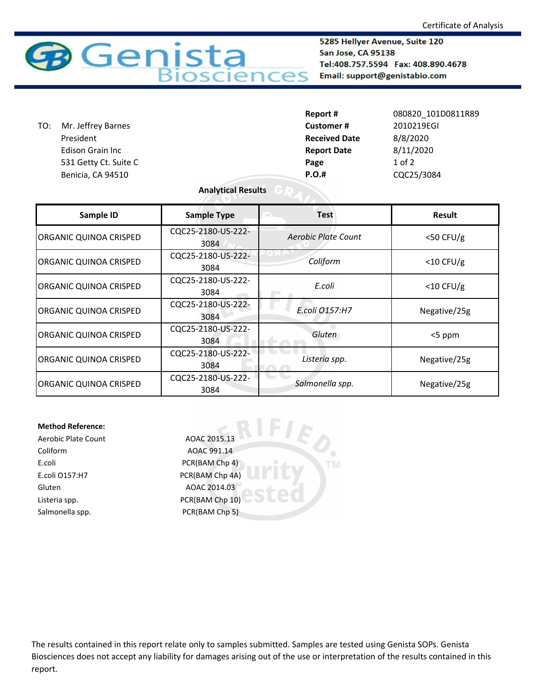

5285 Hellyer Avenue, Suite 120 San Jose, CA 95138 Tel:408.757.5594 Fax: 408.890.4678 Email: support@genistabio.com

|                           | Report #             | 080820 101D0811R89 |
|---------------------------|----------------------|--------------------|
| Mr. Jeffrey Barnes<br>TO: | <b>Customer#</b>     | 2010219EGI         |
| President                 | <b>Received Date</b> | 8/8/2020           |
| <b>Edison Grain Inc</b>   | <b>Report Date</b>   | 8/11/2020          |
| 531 Getty Ct. Suite C     | Page                 | $1$ of $2$         |
| Benicia, CA 94510         | <b>P.O.#</b>         | CQC25/3084         |

## **Analytical Results**

| Sample ID                     | <b>Sample Type</b>         | <b>Test</b>         | <b>Result</b> |
|-------------------------------|----------------------------|---------------------|---------------|
| <b>ORGANIC QUINOA CRISPED</b> | CQC25-2180-US-222-<br>3084 | Aerobic Plate Count | $<$ 50 CFU/g  |
| <b>ORGANIC QUINOA CRISPED</b> | CQC25-2180-US-222-<br>3084 | Coliform            | $<$ 10 CFU/g  |
| <b>ORGANIC QUINOA CRISPED</b> | CQC25-2180-US-222-<br>3084 | E.coli              | $<$ 10 CFU/g  |
| ORGANIC QUINOA CRISPED        | CQC25-2180-US-222-<br>3084 | E.coli 0157:H7      | Negative/25g  |
| <b>ORGANIC QUINOA CRISPED</b> | CQC25-2180-US-222-<br>3084 | Gluten              | <5 ppm        |
| <b>ORGANIC QUINOA CRISPED</b> | CQC25-2180-US-222-<br>3084 | Listeria spp.       | Negative/25g  |
| <b>ORGANIC QUINOA CRISPED</b> | CQC25-2180-US-222-<br>3084 | Salmonella spp.     | Negative/25g  |

**TM** 

## **Method Reference:**

Coliform AOAC 991.14 E.coli PCR(BAM Chp 4) E.coli O157:H7 PCR(BAM Chp 4A) Gluten AOAC 2014.03 Listeria spp. The CR(BAM Chp 10) Salmonella spp. PCR(BAM Chp 5)

Aerobic Plate Count AOAC 2015.13

The results contained in this report relate only to samples submitted. Samples are tested using Genista SOPs. Genista Biosciences does not accept any liability for damages arising out of the use or interpretation of the results contained in this report.